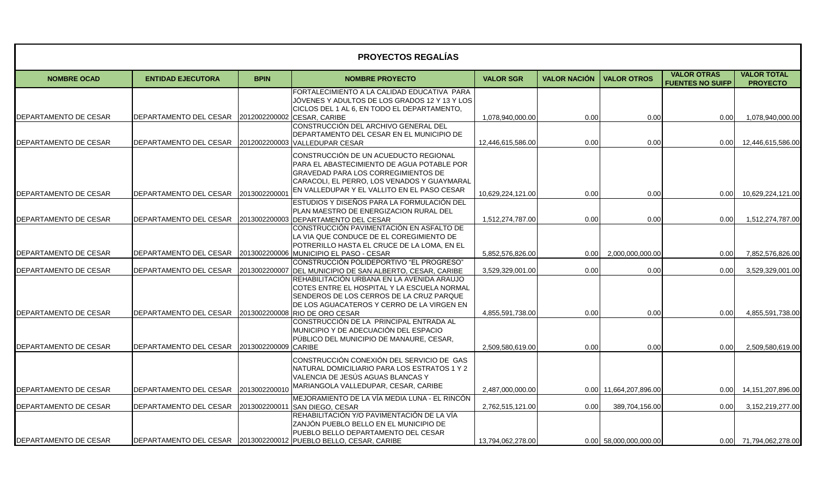| <b>PROYECTOS REGALÍAS</b> |                                                             |               |                                                                                                                                                                                                                                 |                   |                     |                        |                                               |                                       |
|---------------------------|-------------------------------------------------------------|---------------|---------------------------------------------------------------------------------------------------------------------------------------------------------------------------------------------------------------------------------|-------------------|---------------------|------------------------|-----------------------------------------------|---------------------------------------|
| <b>NOMBRE OCAD</b>        | <b>ENTIDAD EJECUTORA</b>                                    | <b>BPIN</b>   | <b>NOMBRE PROYECTO</b>                                                                                                                                                                                                          | <b>VALOR SGR</b>  | <b>VALOR NACIÓN</b> | <b>VALOR OTROS</b>     | <b>VALOR OTRAS</b><br><b>FUENTES NO SUIFP</b> | <b>VALOR TOTAL</b><br><b>PROYECTO</b> |
|                           |                                                             |               | FORTALECIMIENTO A LA CALIDAD EDUCATIVA PARA<br>JOVENES Y ADULTOS DE LOS GRADOS 12 Y 13 Y LOS<br>CICLOS DEL 1 AL 6, EN TODO EL DEPARTAMENTO,                                                                                     |                   |                     |                        |                                               |                                       |
| DEPARTAMENTO DE CESAR     | DEPARTAMENTO DEL CESAR 2012002200002 CESAR, CARIBE          |               | CONSTRUCCIÓN DEL ARCHIVO GENERAL DEL                                                                                                                                                                                            | 1,078,940,000.00  | 0.00                | 0.00                   | 0.00                                          | 1,078,940,000.00                      |
| DEPARTAMENTO DE CESAR     | <b>IDEPARTAMENTO DEL CESAR</b>                              |               | DEPARTAMENTO DEL CESAR EN EL MUNICIPIO DE<br>2012002200003 VALLEDUPAR CESAR                                                                                                                                                     | 12,446,615,586.00 | 0.00                | 0.00                   | 0.00                                          | 12,446,615,586.00                     |
| DEPARTAMENTO DE CESAR     | DEPARTAMENTO DEL CESAR                                      | 2013002200001 | CONSTRUCCIÓN DE UN ACUEDUCTO REGIONAL<br>PARA EL ABASTECIMIENTO DE AGUA POTABLE POR<br><b>GRAVEDAD PARA LOS CORREGIMIENTOS DE</b><br>CARACOLI, EL PERRO, LOS VENADOS Y GUAYMARAL<br>EN VALLEDUPAR Y EL VALLITO EN EL PASO CESAR | 10,629,224,121.00 | 0.00                | 0.00                   | 0.00                                          | 10,629,224,121.00                     |
| DEPARTAMENTO DE CESAR     | DEPARTAMENTO DEL CESAR 2013002200003 DEPARTAMENTO DEL CESAR |               | ESTUDIOS Y DISEÑOS PARA LA FORMULACIÓN DEL<br>PLAN MAESTRO DE ENERGIZACION RURAL DEL                                                                                                                                            | 1,512,274,787.00  | 0.00                | 0.00                   | 0.00                                          | 1,512,274,787.00                      |
|                           |                                                             |               | CONSTRUCCIÓN PAVIMENTACIÓN EN ASFALTO DE<br>LA VIA QUE CONDUCE DE EL COREGIMIENTO DE<br>POTRERILLO HASTA EL CRUCE DE LA LOMA, EN EL                                                                                             |                   |                     |                        |                                               |                                       |
| DEPARTAMENTO DE CESAR     | DEPARTAMENTO DEL CESAR                                      |               | 2013002200006 MUNICIPIO EL PASO - CESAR<br>CONSTRUCCIÓN POLIDEPORTIVO "EL PROGRESO"                                                                                                                                             | 5,852,576,826.00  | 0.00                | 2,000,000,000.00       | 0.00                                          | 7,852,576,826.00                      |
| DEPARTAMENTO DE CESAR     | DEPARTAMENTO DEL CESAR                                      | 2013002200007 | DEL MUNICIPIO DE SAN ALBERTO, CESAR, CARIBE                                                                                                                                                                                     | 3,529,329,001.00  | 0.00                | 0.00                   | 0.00                                          | 3,529,329,001.00                      |
| DEPARTAMENTO DE CESAR     | DEPARTAMENTO DEL CESAR                                      | 2013002200008 | REHABILITACIÓN URBANA EN LA AVENIDA ARAUJO<br>COTES ENTRE EL HOSPITAL Y LA ESCUELA NORMAL<br>SENDEROS DE LOS CERROS DE LA CRUZ PARQUE<br>DE LOS AGUACATEROS Y CERRO DE LA VIRGEN EN<br><b>RIO DE ORO CESAR</b>                  | 4.855.591.738.00  | 0.00                | 0.00                   | 0.00                                          | 4,855,591,738.00                      |
| DEPARTAMENTO DE CESAR     | <b>DEPARTAMENTO DEL CESAR</b>                               | 2013002200009 | CONSTRUCCIÓN DE LA PRINCIPAL ENTRADA AL<br>MUNICIPIO Y DE ADECUACIÓN DEL ESPACIO<br>PÚBLICO DEL MUNICIPIO DE MANAURE, CESAR,<br><b>CARIBE</b>                                                                                   | 2,509,580,619.00  | 0.00                |                        |                                               |                                       |
|                           |                                                             |               | CONSTRUCCIÓN CONEXIÓN DEL SERVICIO DE GAS<br>NATURAL DOMICILIARIO PARA LOS ESTRATOS 1 Y 2<br>VALENCIA DE JESÚS AGUAS BLANCAS Y                                                                                                  |                   |                     | 0.00                   | 0.00                                          | 2,509,580,619.00                      |
| DEPARTAMENTO DE CESAR     | DEPARTAMENTO DEL CESAR 2013002200010                        |               | MARIANGOLA VALLEDUPAR, CESAR, CARIBE                                                                                                                                                                                            | 2,487,000,000.00  |                     | 0.00 11,664,207,896.00 | 0.00                                          | 14,151,207,896.00                     |
| DEPARTAMENTO DE CESAR     | DEPARTAMENTO DEL CESAR 2013002200011                        |               | MEJORAMIENTO DE LA VÍA MEDIA LUNA - EL RINCÓN<br>SAN DIEGO, CESAR                                                                                                                                                               | 2,762,515,121.00  | 0.00                | 389,704,156.00         | 0.00                                          | 3,152,219,277.00                      |
|                           |                                                             |               | REHABILITACIÓN Y/O PAVIMENTACIÓN DE LA VÍA<br>ZANJÓN PUEBLO BELLO EN EL MUNICIPIO DE<br>PUEBLO BELLO DEPARTAMENTO DEL CESAR                                                                                                     |                   |                     |                        |                                               |                                       |
| DEPARTAMENTO DE CESAR     |                                                             |               | DEPARTAMENTO DEL CESAR 2013002200012 PUEBLO BELLO, CESAR, CARIBE                                                                                                                                                                | 13,794,062,278.00 |                     | 0.00 58,000,000,000.00 |                                               | 0.00 71,794,062,278.00                |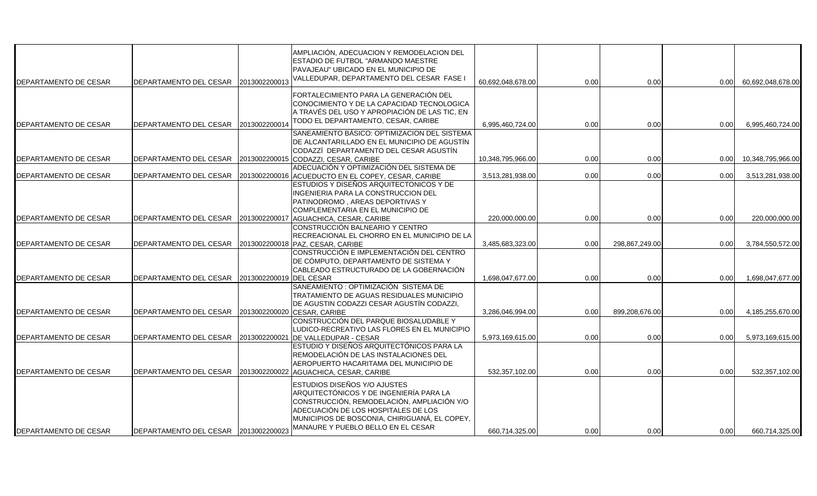| DEPARTAMENTO DE CESAR | DEPARTAMENTO DEL CESAR 2013002200013                        |                         | AMPLIACIÓN, ADECUACION Y REMODELACION DEL<br>ESTADIO DE FUTBOL "ARMANDO MAESTRE<br>PAVAJEAU" UBICADO EN EL MUNICIPIO DE<br>VALLEDUPAR, DEPARTAMENTO DEL CESAR FASE I                                                                                | 60,692,048,678.00 | 0.00 | 0.00           | 0.00 | 60,692,048,678.00 |
|-----------------------|-------------------------------------------------------------|-------------------------|-----------------------------------------------------------------------------------------------------------------------------------------------------------------------------------------------------------------------------------------------------|-------------------|------|----------------|------|-------------------|
| DEPARTAMENTO DE CESAR | DEPARTAMENTO DEL CESAR 2013002200014                        |                         | FORTALECIMIENTO PARA LA GENERACIÓN DEL<br>CONOCIMIENTO Y DE LA CAPACIDAD TECNOLOGICA<br>A TRAVÉS DEL USO Y APROPIACIÓN DE LAS TIC, EN<br>TODO EL DEPARTAMENTO, CESAR, CARIBE                                                                        | 6,995,460,724.00  | 0.00 | 0.00           | 0.00 | 6,995,460,724.00  |
| DEPARTAMENTO DE CESAR | DEPARTAMENTO DEL CESAR 2013002200015 CODAZZI, CESAR, CARIBE |                         | SANEAMIENTO BÁSICO: OPTIMIZACION DEL SISTEMA<br>DE ALCANTARILLADO EN EL MUNICIPIO DE AGUSTÍN<br>CODAZZÍ DEPARTAMENTO DEL CESAR AGUSTÍN                                                                                                              | 10,348,795,966.00 | 0.00 | 0.00           | 0.00 | 10,348,795,966.00 |
| DEPARTAMENTO DE CESAR | DEPARTAMENTO DEL CESAR                                      |                         | ADECUACIÓN Y OPTIMIZACIÓN DEL SISTEMA DE<br>2013002200016 ACUEDUCTO EN EL COPEY, CESAR, CARIBE                                                                                                                                                      | 3,513,281,938.00  | 0.00 | 0.00           | 0.00 | 3,513,281,938.00  |
|                       |                                                             |                         | ESTUDIOS Y DISEÑOS ARQUITECTONICOS Y DE<br>INGENIERIA PARA LA CONSTRUCCION DEL<br>PATINODROMO, AREAS DEPORTIVAS Y<br>COMPLEMENTARIA EN EL MUNICIPIO DE                                                                                              |                   |      |                |      |                   |
| DEPARTAMENTO DE CESAR | DEPARTAMENTO DEL CESAR 2013002200017                        |                         | AGUACHICA, CESAR, CARIBE                                                                                                                                                                                                                            | 220,000,000.00    | 0.00 | 0.00           | 0.00 | 220,000,000.00    |
| DEPARTAMENTO DE CESAR | DEPARTAMENTO DEL CESAR                                      |                         | CONSTRUCCIÓN BALNEARIO Y CENTRO<br>RECREACIONAL EL CHORRO EN EL MUNICIPIO DE LA<br>2013002200018 PAZ, CESAR, CARIBE                                                                                                                                 | 3,485,683,323.00  | 0.00 | 298,867,249.00 | 0.00 | 3,784,550,572.00  |
| DEPARTAMENTO DE CESAR | DEPARTAMENTO DEL CESAR                                      | 2013002200019 DEL CESAR | CONSTRUCCIÓN E IMPLEMENTACIÓN DEL CENTRO<br>DE CÓMPUTO, DEPARTAMENTO DE SISTEMA Y<br>CABLEADO ESTRUCTURADO DE LA GOBERNACIÓN                                                                                                                        | 1.698.047.677.00  | 0.00 | 0.00           | 0.00 | 1.698.047.677.00  |
| DEPARTAMENTO DE CESAR | DEPARTAMENTO DEL CESAR                                      |                         | SANEAMIENTO : OPTIMIZACIÓN SISTEMA DE<br>TRATAMIENTO DE AGUAS RESIDUALES MUNICIPIO<br>DE AGUSTIN CODAZZI CESAR AGUSTÍN CODAZZI,<br>2013002200020 CESAR, CARIBE                                                                                      | 3,286,046,994.00  | 0.00 | 899,208,676.00 | 0.00 | 4,185,255,670.00  |
| DEPARTAMENTO DE CESAR | DEPARTAMENTO DEL CESAR                                      | 2013002200021           | CONSTRUCCIÓN DEL PARQUE BIOSALUDABLE Y<br>LUDICO-RECREATIVO LAS FLORES EN EL MUNICIPIO<br>DE VALLEDUPAR - CESAR                                                                                                                                     | 5,973,169,615.00  | 0.00 | 0.00           | 0.00 | 5,973,169,615.00  |
| DEPARTAMENTO DE CESAR | DEPARTAMENTO DEL CESAR                                      | 2013002200022           | ESTUDIO Y DISEÑOS ARQUITECTÓNICOS PARA LA<br>REMODELACIÓN DE LAS INSTALACIONES DEL<br>AEROPUERTO HACARITAMA DEL MUNICIPIO DE<br>AGUACHICA, CESAR, CARIBE                                                                                            | 532,357,102.00    | 0.00 | 0.00           | 0.00 | 532,357,102.00    |
| DEPARTAMENTO DE CESAR | DEPARTAMENTO DEL CESAR 2013002200023                        |                         | ESTUDIOS DISEÑOS Y/O AJUSTES<br>ARQUITECTÓNICOS Y DE INGENIERÍA PARA LA<br>CONSTRUCCIÓN, REMODELACIÓN, AMPLIACIÓN Y/O<br>ADECUACIÓN DE LOS HOSPITALES DE LOS<br>MUNICIPIOS DE BOSCONIA, CHIRIGUANÁ, EL COPEY,<br>MANAURE Y PUEBLO BELLO EN EL CESAR | 660,714,325.00    | 0.00 | 0.00           | 0.00 | 660,714,325.00    |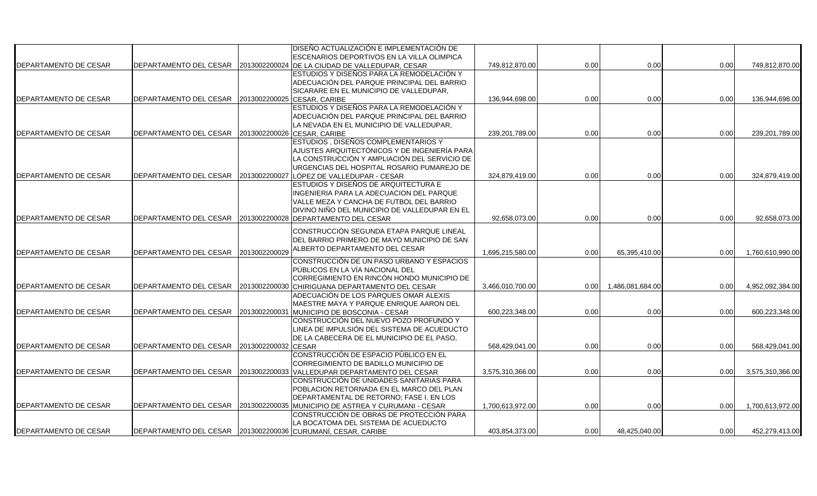|                              |                                                              |               | DISEÑO ACTUALIZACIÓN E IMPLEMENTACIÓN DE                                      |                  |      |                  |      |                  |
|------------------------------|--------------------------------------------------------------|---------------|-------------------------------------------------------------------------------|------------------|------|------------------|------|------------------|
|                              |                                                              |               | <b>ESCENARIOS DEPORTIVOS EN LA VILLA OLIMPICA</b>                             |                  |      |                  |      |                  |
| DEPARTAMENTO DE CESAR        | DEPARTAMENTO DEL CESAR 2013002200024                         |               | DE LA CIUDAD DE VALLEDUPAR, CESAR                                             | 749,812,870.00   | 0.00 | 0.00             | 0.00 | 749,812,870.00   |
|                              |                                                              |               | ESTUDIOS Y DISEÑOS PARA LA REMODELACIÓN Y                                     |                  |      |                  |      |                  |
|                              |                                                              |               | ADECUACIÓN DEL PARQUE PRINCIPAL DEL BARRIO                                    |                  |      |                  |      |                  |
|                              |                                                              |               | SICARARE EN EL MUNICIPIO DE VALLEDUPAR,                                       |                  |      |                  |      |                  |
| <b>DEPARTAMENTO DE CESAR</b> | DEPARTAMENTO DEL CESAR                                       | 2013002200025 | CESAR, CARIBE                                                                 | 136,944,698.00   | 0.00 | 0.00             | 0.00 | 136,944,698.00   |
|                              |                                                              |               | ESTUDIOS Y DISEÑOS PARA LA REMODELACIÓN Y                                     |                  |      |                  |      |                  |
|                              |                                                              |               | ADECUACIÓN DEL PARQUE PRINCIPAL DEL BARRIO                                    |                  |      |                  |      |                  |
|                              |                                                              |               | LA NEVADA EN EL MUNICIPIO DE VALLEDUPAR,                                      |                  |      |                  |      |                  |
| DEPARTAMENTO DE CESAR        | DEPARTAMENTO DEL CESAR 2013002200026 CESAR, CARIBE           |               |                                                                               | 239,201,789.00   | 0.00 | 0.00             | 0.00 | 239,201,789.00   |
|                              |                                                              |               | ESTUDIOS, DISEÑOS COMPLEMENTARIOS Y                                           |                  |      |                  |      |                  |
|                              |                                                              |               | AJUSTES ARQUITECTÓNICOS Y DE INGENIERÍA PARA                                  |                  |      |                  |      |                  |
|                              |                                                              |               | LA CONSTRUCCIÓN Y AMPLIACIÓN DEL SERVICIO DE                                  |                  |      |                  |      |                  |
|                              |                                                              |               | URGENCIAS DEL HOSPITAL ROSARIO PUMAREJO DE                                    |                  |      | 0.00             | 0.00 |                  |
| DEPARTAMENTO DE CESAR        | DEPARTAMENTO DEL CESAR                                       | 2013002200027 | LÓPEZ DE VALLEDUPAR - CESAR<br>ESTUDIOS Y DISEÑOS DE ARQUITECTURA E           | 324,879,419.00   | 0.00 |                  |      | 324,879,419.00   |
|                              |                                                              |               | INGENIERIA PARA LA ADECUACION DEL PARQUE                                      |                  |      |                  |      |                  |
|                              |                                                              |               | VALLE MEZA Y CANCHA DE FUTBOL DEL BARRIO                                      |                  |      |                  |      |                  |
|                              |                                                              |               | DIVINO NIÑO DEL MUNICIPIO DE VALLEDUPAR EN EL                                 |                  |      |                  |      |                  |
| DEPARTAMENTO DE CESAR        |                                                              |               | DEPARTAMENTO DEL CESAR 2013002200028 DEPARTAMENTO DEL CESAR                   | 92,658,073.00    | 0.00 | 0.00             | 0.00 | 92,658,073.00    |
|                              |                                                              |               |                                                                               |                  |      |                  |      |                  |
|                              |                                                              |               | CONSTRUCCIÓN SEGUNDA ETAPA PARQUE LINEAL                                      |                  |      |                  |      |                  |
|                              |                                                              |               | DEL BARRIO PRIMERO DE MAYO MUNICIPIO DE SAN                                   |                  |      |                  |      |                  |
| DEPARTAMENTO DE CESAR        | DEPARTAMENTO DEL CESAR 2013002200029                         |               | ALBERTO DEPARTAMENTO DEL CESAR                                                | 1,695,215,580.00 | 0.00 | 65,395,410.00    | 0.00 | 1,760,610,990.00 |
|                              |                                                              |               | CONSTRUCCIÓN DE UN PASO URBANO Y ESPACIOS                                     |                  |      |                  |      |                  |
|                              |                                                              |               | PÚBLICOS EN LA VÍA NACIONAL DEL                                               |                  |      |                  |      |                  |
|                              |                                                              |               | CORREGIMIENTO EN RINCÓN HONDO MUNICIPIO DE                                    |                  |      |                  |      |                  |
| DEPARTAMENTO DE CESAR        |                                                              |               | DEPARTAMENTO DEL CESAR 2013002200030 CHIRIGUANA DEPARTAMENTO DEL CESAR        | 3,466,010,700.00 | 0.00 | 1,486,081,684.00 | 0.00 | 4,952,092,384.00 |
|                              |                                                              |               | ADECUACIÓN DE LOS PARQUES OMAR ALEXIS                                         |                  |      |                  |      |                  |
|                              |                                                              |               | MAESTRE MAYA Y PARQUE ENRIQUE AARON DEL                                       |                  |      |                  |      |                  |
| DEPARTAMENTO DE CESAR        | DEPARTAMENTO DEL CESAR                                       | 2013002200031 | MUNICIPIO DE BOSCONIA - CESAR                                                 | 600,223,348.00   | 0.00 | 0.00             | 0.00 | 600,223,348.00   |
|                              |                                                              |               | CONSTRUCCIÓN DEL NUEVO POZO PROFUNDO Y                                        |                  |      |                  |      |                  |
|                              |                                                              |               | LINEA DE IMPULSIÓN DEL SISTEMA DE ACUEDUCTO                                   |                  |      |                  |      |                  |
|                              |                                                              |               | DE LA CABECERA DE EL MUNICIPIO DE EL PASO,                                    |                  |      |                  |      |                  |
| DEPARTAMENTO DE CESAR        | DEPARTAMENTO DEL CESAR   2013002200032 CESAR                 |               |                                                                               | 568,429,041.00   | 0.00 | 0.00             | 0.00 | 568,429,041.00   |
|                              |                                                              |               | CONSTRUCCIÓN DE ESPACIO PÙBLICO EN EL                                         |                  |      |                  |      |                  |
| DEPARTAMENTO DE CESAR        | DEPARTAMENTO DEL CESAR                                       | 2013002200033 | CORREGIMIENTO DE BADILLO MUNICIPIO DE                                         |                  | 0.00 | 0.00             |      |                  |
|                              |                                                              |               | VALLEDUPAR DEPARTAMENTO DEL CESAR<br>CONSTRUCCIÓN DE UNIDADES SANITARIAS PARA | 3,575,310,366.00 |      |                  | 0.00 | 3,575,310,366.00 |
|                              |                                                              |               | POBLACION RETORNADA EN EL MARCO DEL PLAN                                      |                  |      |                  |      |                  |
|                              |                                                              |               | DEPARTAMENTAL DE RETORNO; FASE I. EN LOS                                      |                  |      |                  |      |                  |
| DEPARTAMENTO DE CESAR        | DEPARTAMENTO DEL CESAR                                       |               | 2013002200035 MUNICIPIO DE ASTREA Y CURUMANI - CESAR                          | 1,700,613,972.00 | 0.00 | 0.00             | 0.00 | 1,700,613,972.00 |
|                              |                                                              |               | CONSTRUCCIÓN DE OBRAS DE PROTECCIÓN PARA                                      |                  |      |                  |      |                  |
|                              |                                                              |               | LA BOCATOMA DEL SISTEMA DE ACUEDUCTO                                          |                  |      |                  |      |                  |
| DEPARTAMENTO DE CESAR        | DEPARTAMENTO DEL CESAR 2013002200036 CURUMANÍ, CESAR, CARIBE |               |                                                                               | 403,854,373.00   | 0.00 | 48,425,040.00    | 0.00 | 452,279,413.00   |
|                              |                                                              |               |                                                                               |                  |      |                  |      |                  |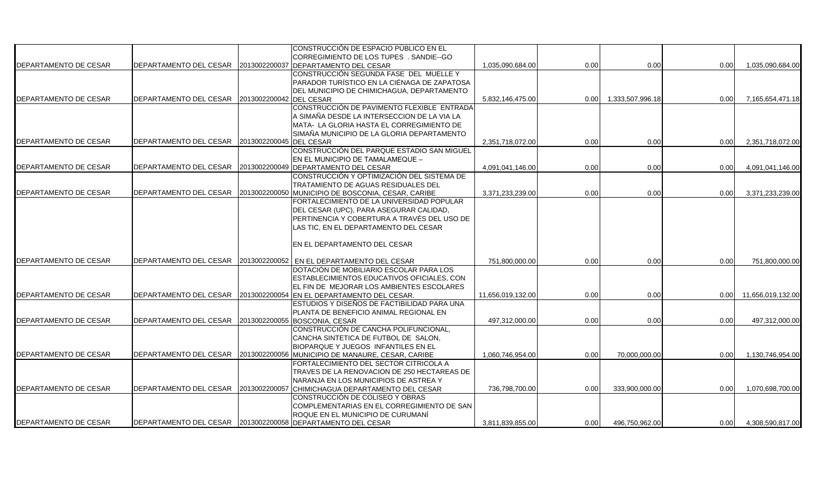|                       |                                                |               | CONSTRUCCIÓN DE ESPACIO PUBLICO EN EL                                           |                   |      |                       |      |                   |
|-----------------------|------------------------------------------------|---------------|---------------------------------------------------------------------------------|-------------------|------|-----------------------|------|-------------------|
|                       |                                                |               | CORREGIMIENTO DE LOS TUPES. SANDIE--GO                                          |                   |      |                       |      |                   |
| DEPARTAMENTO DE CESAR | DEPARTAMENTO DEL CESAR                         | 2013002200037 | DEPARTAMENTO DEL CESAR                                                          | 1,035,090,684.00  | 0.00 | 0.00                  | 0.00 | 1,035,090,684.00  |
|                       |                                                |               | CONSTRUCCIÓN SEGUNDA FASE DEL MUELLE Y                                          |                   |      |                       |      |                   |
|                       |                                                |               | PARADOR TURÍSTICO EN LA CIÉNAGA DE ZAPATOSA                                     |                   |      |                       |      |                   |
| DEPARTAMENTO DE CESAR | DEPARTAMENTO DEL CESAR 2013002200042 DEL CESAR |               | DEL MUNICIPIO DE CHIMICHAGUA, DEPARTAMENTO                                      | 5,832,146,475.00  |      | 0.00 1,333,507,996.18 | 0.00 | 7,165,654,471.18  |
|                       |                                                |               | CONSTRUCCIÓN DE PAVIMENTO FLEXIBLE ENTRADA                                      |                   |      |                       |      |                   |
|                       |                                                |               | A SIMAÑA DESDE LA INTERSECCION DE LA VIA LA                                     |                   |      |                       |      |                   |
|                       |                                                |               | MATA- LA GLORIA HASTA EL CORREGIMIENTO DE                                       |                   |      |                       |      |                   |
|                       |                                                |               | SIMAÑA MUNICIPIO DE LA GLORIA DEPARTAMENTO                                      |                   |      |                       |      |                   |
| DEPARTAMENTO DE CESAR | DEPARTAMENTO DEL CESAR 2013002200045 DEL CESAR |               |                                                                                 | 2,351,718,072.00  | 0.00 | 0.00                  | 0.00 | 2,351,718,072.00  |
|                       |                                                |               | CONSTRUCCIÓN DEL PARQUE ESTADIO SAN MIGUEL                                      |                   |      |                       |      |                   |
|                       |                                                |               | EN EL MUNICIPIO DE TAMALAMEQUE -                                                |                   |      |                       |      |                   |
| DEPARTAMENTO DE CESAR | DEPARTAMENTO DEL CESAR                         |               | 2013002200049 DEPARTAMENTO DEL CESAR                                            | 4,091,041,146.00  | 0.00 | 0.00                  | 0.00 | 4,091,041,146.00  |
|                       |                                                |               | CONSTRUCCIÓN Y OPTIMIZACIÓN DEL SISTEMA DE                                      |                   |      |                       |      |                   |
|                       |                                                |               | TRATAMIENTO DE AGUAS RESIDUALES DEL                                             |                   |      |                       |      |                   |
| DEPARTAMENTO DE CESAR | DEPARTAMENTO DEL CESAR                         | 2013002200050 | MUNICIPIO DE BOSCONIA, CESAR, CARIBE                                            | 3,371,233,239.00  | 0.00 | 0.00                  | 0.00 | 3,371,233,239.00  |
|                       |                                                |               | FORTALECIMIENTO DE LA UNIVERSIDAD POPULAR                                       |                   |      |                       |      |                   |
|                       |                                                |               | DEL CESAR (UPC), PARA ASEGURAR CALIDAD,                                         |                   |      |                       |      |                   |
|                       |                                                |               | PERTINENCIA Y COBERTURA A TRAVÉS DEL USO DE                                     |                   |      |                       |      |                   |
|                       |                                                |               | LAS TIC, EN EL DEPARTAMENTO DEL CESAR                                           |                   |      |                       |      |                   |
|                       |                                                |               |                                                                                 |                   |      |                       |      |                   |
|                       |                                                |               | EN EL DEPARTAMENTO DEL CESAR                                                    |                   |      |                       |      |                   |
| DEPARTAMENTO DE CESAR | DEPARTAMENTO DEL CESAR                         |               | 2013002200052 EN EL DEPARTAMENTO DEL CESAR                                      | 751.800.000.00    | 0.00 | 0.00                  | 0.00 | 751,800,000.00    |
|                       |                                                |               | DOTACIÓN DE MOBILIARIO ESCOLAR PARA LOS                                         |                   |      |                       |      |                   |
|                       |                                                |               | ESTABLECIMIENTOS EDUCATIVOS OFICIALES, CON                                      |                   |      |                       |      |                   |
|                       |                                                |               | EL FIN DE MEJORAR LOS AMBIENTES ESCOLARES                                       |                   |      |                       |      |                   |
| DEPARTAMENTO DE CESAR | DEPARTAMENTO DEL CESAR                         | 2013002200054 | EN EL DEPARTAMENTO DEL CESAR.                                                   | 11,656,019,132.00 | 0.00 | 0.00                  | 0.00 | 11,656,019,132.00 |
|                       |                                                |               | ESTUDIOS Y DISEÑOS DE FACTIBILIDAD PARA UNA                                     |                   |      |                       |      |                   |
|                       |                                                |               | PLANTA DE BENEFICIO ANIMAL REGIONAL EN                                          |                   |      |                       |      |                   |
| DEPARTAMENTO DE CESAR | DEPARTAMENTO DEL CESAR                         | 2013002200055 | BOSCONIA, CESAR                                                                 | 497,312,000.00    | 0.00 | 0.00                  | 0.00 | 497,312,000.00    |
|                       |                                                |               | CONSTRUCCIÓN DE CANCHA POLIFUNCIONAL,                                           |                   |      |                       |      |                   |
|                       |                                                |               | CANCHA SINTETICA DE FUTBOL DE SALON,                                            |                   |      |                       |      |                   |
|                       |                                                |               | BIOPARQUE Y JUEGOS INFANTILES EN EL                                             |                   |      |                       |      |                   |
| DEPARTAMENTO DE CESAR | DEPARTAMENTO DEL CESAR                         | 2013002200056 | MUNICIPIO DE MANAURE, CESAR, CARIBE                                             | 1,060,746,954.00  | 0.00 | 70,000,000.00         | 0.00 | 1,130,746,954.00  |
|                       |                                                |               | FORTALECIMIENTO DEL SECTOR CITRICOLA A                                          |                   |      |                       |      |                   |
|                       |                                                |               | TRAVES DE LA RENOVACION DE 250 HECTAREAS DE                                     |                   |      |                       |      |                   |
|                       |                                                |               | NARANJA EN LOS MUNICIPIOS DE ASTREA Y                                           |                   |      |                       |      |                   |
| DEPARTAMENTO DE CESAR | DEPARTAMENTO DEL CESAR 2013002200057           |               | CHIMICHAGUA DEPARTAMENTO DEL CESAR                                              | 736,798,700.00    | 0.00 | 333,900,000.00        | 0.00 | 1,070,698,700.00  |
|                       |                                                |               | CONSTRUCCIÓN DE COLISEO Y OBRAS                                                 |                   |      |                       |      |                   |
|                       |                                                |               | COMPLEMENTARIAS EN EL CORREGIMIENTO DE SAN<br>ROQUE EN EL MUNICIPIO DE CURUMANÍ |                   |      |                       |      |                   |
| DEPARTAMENTO DE CESAR |                                                |               | DEPARTAMENTO DEL CESAR 2013002200058 DEPARTAMENTO DEL CESAR                     | 3.811.839.855.00  | 0.00 | 496.750.962.00        | 0.00 | 4,308,590,817.00  |
|                       |                                                |               |                                                                                 |                   |      |                       |      |                   |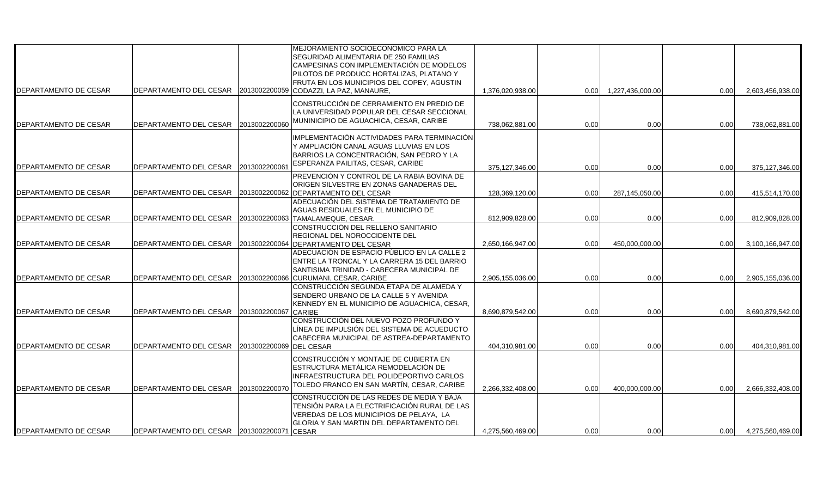| <b>DEPARTAMENTO DE CESAR</b> | DEPARTAMENTO DEL CESAR                     | 2013002200059 | MEJORAMIENTO SOCIOECONOMICO PARA LA<br>SEGURIDAD ALIMENTARIA DE 250 FAMILIAS<br>CAMPESINAS CON IMPLEMENTACIÓN DE MODELOS<br>PILOTOS DE PRODUCC HORTALIZAS, PLATANO Y<br>FRUTA EN LOS MUNICIPIOS DEL COPEY, AGUSTIN<br>CODAZZI, LA PAZ, MANAURE, | 1,376,020,938.00 | 0.00 | 1,227,436,000.00 | 0.00 | 2,603,456,938.00 |
|------------------------------|--------------------------------------------|---------------|-------------------------------------------------------------------------------------------------------------------------------------------------------------------------------------------------------------------------------------------------|------------------|------|------------------|------|------------------|
| <b>DEPARTAMENTO DE CESAR</b> | DEPARTAMENTO DEL CESAR                     | 2013002200060 | CONSTRUCCIÓN DE CERRAMIENTO EN PREDIO DE<br>LA UNIVERSIDAD POPULAR DEL CESAR SECCIONAL<br>MUNINICIPIO DE AGUACHICA, CESAR, CARIBE                                                                                                               | 738,062,881.00   | 0.00 | 0.00             | 0.00 | 738,062,881.00   |
| <b>DEPARTAMENTO DE CESAR</b> | DEPARTAMENTO DEL CESAR                     | 2013002200061 | IMPLEMENTACIÓN ACTIVIDADES PARA TERMINACIÓN<br>Y AMPLIACIÓN CANAL AGUAS LLUVIAS EN LOS<br>BARRIOS LA CONCENTRACIÓN, SAN PEDRO Y LA<br>ESPERANZA PAILITAS, CESAR, CARIBE                                                                         | 375,127,346.00   | 0.00 | 0.00             | 0.00 | 375,127,346.00   |
| <b>DEPARTAMENTO DE CESAR</b> | DEPARTAMENTO DEL CESAR                     | 2013002200062 | PREVENCIÓN Y CONTROL DE LA RABIA BOVINA DE<br>ORIGEN SILVESTRE EN ZONAS GANADERAS DEL<br><b>DEPARTAMENTO DEL CESAR</b>                                                                                                                          | 128,369,120.00   | 0.00 | 287,145,050.00   | 0.00 | 415,514,170.00   |
| <b>DEPARTAMENTO DE CESAR</b> | DEPARTAMENTO DEL CESAR                     |               | ADECUACIÓN DEL SISTEMA DE TRATAMIENTO DE<br>AGUAS RESIDUALES EN EL MUNICIPIO DE<br>2013002200063 TAMALAMEQUE, CESAR.                                                                                                                            | 812,909,828.00   | 0.00 | 0.00             | 0.00 | 812,909,828.00   |
| <b>DEPARTAMENTO DE CESAR</b> | DEPARTAMENTO DEL CESAR                     | 2013002200064 | CONSTRUCCIÓN DEL RELLENO SANITARIO<br>REGIONAL DEL NOROCCIDENTE DEL<br><b>DEPARTAMENTO DEL CESAR</b><br>ADECUACIÓN DE ESPACIO PÚBLICO EN LA CALLE 2                                                                                             | 2,650,166,947.00 | 0.00 | 450,000,000.00   | 0.00 | 3,100,166,947.00 |
| <b>DEPARTAMENTO DE CESAR</b> | DEPARTAMENTO DEL CESAR                     |               | ENTRE LA TRONCAL Y LA CARRERA 15 DEL BARRIO<br>SANTISIMA TRINIDAD - CABECERA MUNICIPAL DE<br>2013002200066 CURUMANI, CESAR, CARIBE                                                                                                              | 2,905,155,036.00 | 0.00 | 0.00             | 0.00 | 2,905,155,036.00 |
| <b>DEPARTAMENTO DE CESAR</b> | DEPARTAMENTO DEL CESAR                     | 2013002200067 | CONSTRUCCIÓN SEGUNDA ETAPA DE ALAMEDA Y<br>SENDERO URBANO DE LA CALLE 5 Y AVENIDA<br>KENNEDY EN EL MUNICIPIO DE AGUACHICA, CESAR,<br><b>CARIBE</b>                                                                                              | 8,690,879,542.00 | 0.00 | 0.00             | 0.00 | 8,690,879,542.00 |
| <b>DEPARTAMENTO DE CESAR</b> | DEPARTAMENTO DEL CESAR                     | 2013002200069 | CONSTRUCCIÓN DEL NUEVO POZO PROFUNDO Y<br>LÍNEA DE IMPULSIÓN DEL SISTEMA DE ACUEDUCTO<br>CABECERA MUNICIPAL DE ASTREA-DEPARTAMENTO<br><b>DEL CESAR</b>                                                                                          | 404,310,981.00   | 0.00 | 0.00             | 0.00 | 404,310,981.00   |
| <b>DEPARTAMENTO DE CESAR</b> | DEPARTAMENTO DEL CESAR                     | 2013002200070 | CONSTRUCCIÓN Y MONTAJE DE CUBIERTA EN<br>ESTRUCTURA METÁLICA REMODELACIÓN DE<br>INFRAESTRUCTURA DEL POLIDEPORTIVO CARLOS<br>TOLEDO FRANCO EN SAN MARTÍN, CESAR, CARIBE                                                                          | 2,266,332,408.00 | 0.00 | 400,000,000.00   | 0.00 | 2,666,332,408.00 |
| <b>DEPARTAMENTO DE CESAR</b> | DEPARTAMENTO DEL CESAR 2013002200071 CESAR |               | CONSTRUCCIÓN DE LAS REDES DE MEDIA Y BAJA<br>TENSIÓN PARA LA ELECTRIFICACIÓN RURAL DE LAS<br>VEREDAS DE LOS MUNICIPIOS DE PELAYA. LA<br>GLORIA Y SAN MARTIN DEL DEPARTAMENTO DEL                                                                | 4,275,560,469.00 | 0.00 | 0.00             | 0.00 | 4,275,560,469.00 |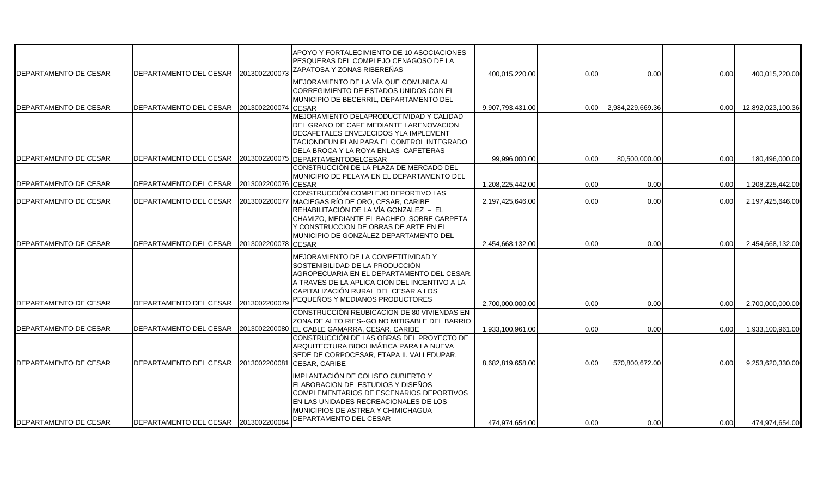|                              |                                      |               | APOYO Y FORTALECIMIENTO DE 10 ASOCIACIONES<br>PESQUERAS DEL COMPLEJO CENAGOSO DE LA                                                                                                                                         |                  |      |                  |      |                   |
|------------------------------|--------------------------------------|---------------|-----------------------------------------------------------------------------------------------------------------------------------------------------------------------------------------------------------------------------|------------------|------|------------------|------|-------------------|
| DEPARTAMENTO DE CESAR        | DEPARTAMENTO DEL CESAR 2013002200073 |               | ZAPATOSA Y ZONAS RIBEREÑAS                                                                                                                                                                                                  | 400,015,220.00   | 0.00 | 0.00             | 0.00 | 400,015,220.00    |
|                              |                                      |               | MEJORAMIENTO DE LA VÍA QUE COMUNICA AL<br>CORREGIMIENTO DE ESTADOS UNIDOS CON EL<br>MUNICIPIO DE BECERRIL, DEPARTAMENTO DEL                                                                                                 |                  |      |                  |      |                   |
| DEPARTAMENTO DE CESAR        | DEPARTAMENTO DEL CESAR               | 2013002200074 | <b>CESAR</b>                                                                                                                                                                                                                | 9.907.793.431.00 | 0.00 | 2.984.229.669.36 | 0.00 | 12,892,023,100.36 |
|                              |                                      |               | MEJORAMIENTO DELAPRODUCTIVIDAD Y CALIDAD<br>DEL GRANO DE CAFE MEDIANTE LARENOVACION<br>DECAFETALES ENVEJECIDOS YLA IMPLEMENT<br>TACIONDEUN PLAN PARA EL CONTROL INTEGRADO<br>DELA BROCA Y LA ROYA ENLAS CAFETERAS           |                  |      |                  |      |                   |
| DEPARTAMENTO DE CESAR        | DEPARTAMENTO DEL CESAR               | 2013002200075 | DEPARTAMENTODELCESAR                                                                                                                                                                                                        | 99.996.000.00    | 0.00 | 80,500,000.00    | 0.00 | 180,496,000.00    |
| DEPARTAMENTO DE CESAR        | DEPARTAMENTO DEL CESAR               | 2013002200076 | CONSTRUCCIÓN DE LA PLAZA DE MERCADO DEL<br>MUNICIPIO DE PELAYA EN EL DEPARTAMENTO DEL<br><b>CESAR</b>                                                                                                                       | 1.208.225.442.00 | 0.00 | 0.00             | 0.00 | 1,208,225,442.00  |
| DEPARTAMENTO DE CESAR        | DEPARTAMENTO DEL CESAR               | 2013002200077 | CONSTRUCCIÓN COMPLEJO DEPORTIVO LAS<br>MACIEGAS RÍO DE ORO, CESAR, CARIBE                                                                                                                                                   | 2,197,425,646.00 | 0.00 | 0.00             | 0.00 | 2,197,425,646.00  |
|                              |                                      |               | REHABILITACIÓN DE LA VÍA GONZALEZ – EL<br>CHAMIZO, MEDIANTE EL BACHEO, SOBRE CARPETA<br>Y CONSTRUCCION DE OBRAS DE ARTE EN EL                                                                                               |                  |      |                  |      |                   |
| DEPARTAMENTO DE CESAR        | DEPARTAMENTO DEL CESAR               | 2013002200078 | MUNICIPIO DE GONZÁLEZ DEPARTAMENTO DEL<br><b>CESAR</b>                                                                                                                                                                      | 2,454,668,132.00 | 0.00 | 0.00             | 0.00 | 2,454,668,132.00  |
|                              |                                      |               | MEJORAMIENTO DE LA COMPETITIVIDAD Y<br>SOSTENIBILIDAD DE LA PRODUCCIÓN<br>AGROPECUARIA EN EL DEPARTAMENTO DEL CESAR.<br>A TRAVÉS DE LA APLICA CIÓN DEL INCENTIVO A LA<br>CAPITALIZACIÓN RURAL DEL CESAR A LOS               |                  |      |                  |      |                   |
| DEPARTAMENTO DE CESAR        | DEPARTAMENTO DEL CESAR               | 2013002200079 | PEQUEÑOS Y MEDIANOS PRODUCTORES                                                                                                                                                                                             | 2.700.000.000.00 | 0.00 | 0.00             | 0.00 | 2,700,000,000.00  |
| DEPARTAMENTO DE CESAR        | DEPARTAMENTO DEL CESAR               |               | CONSTRUCCIÓN REUBICACION DE 80 VIVIENDAS EN<br>ZONA DE ALTO RIES--GO NO MITIGABLE DEL BARRIO<br>2013002200080 EL CABLE GAMARRA, CESAR, CARIBE                                                                               | 1,933,100,961.00 | 0.00 | 0.00             | 0.00 | 1,933,100,961.00  |
| <b>DEPARTAMENTO DE CESAR</b> | DEPARTAMENTO DEL CESAR               | 2013002200081 | CONSTRUCCIÓN DE LAS OBRAS DEL PROYECTO DE<br>ARQUITECTURA BIOCLIMÁTICA PARA LA NUEVA<br>SEDE DE CORPOCESAR, ETAPA II. VALLEDUPAR,<br>CESAR, CARIBE                                                                          | 8,682,819,658.00 | 0.00 | 570,800,672.00   | 0.00 | 9,253,620,330.00  |
| DEPARTAMENTO DE CESAR        | DEPARTAMENTO DEL CESAR 2013002200084 |               | MPLANTACIÓN DE COLISEO CUBIERTO Y<br>ELABORACION DE ESTUDIOS Y DISEÑOS<br>COMPLEMENTARIOS DE ESCENARIOS DEPORTIVOS<br>EN LAS UNIDADES RECREACIONALES DE LOS<br>MUNICIPIOS DE ASTREA Y CHIMICHAGUA<br>DEPARTAMENTO DEL CESAR | 474.974.654.00   | 0.00 | 0.00             | 0.00 | 474,974,654.00    |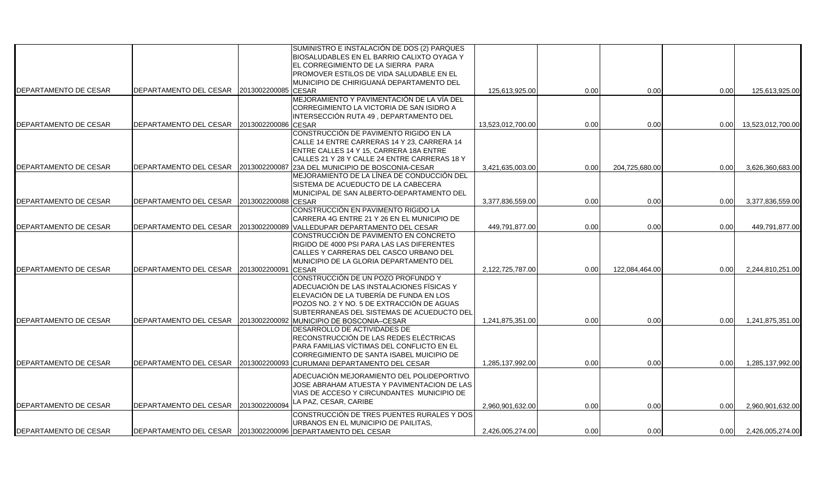|                       |                                      |                     | SUMINISTRO E INSTALACIÓN DE DOS (2) PARQUES                 |                   |      |                |      |                   |
|-----------------------|--------------------------------------|---------------------|-------------------------------------------------------------|-------------------|------|----------------|------|-------------------|
|                       |                                      |                     | BIOSALUDABLES EN EL BARRIO CALIXTO OYAGA Y                  |                   |      |                |      |                   |
|                       |                                      |                     | EL CORREGIMIENTO DE LA SIERRA PARA                          |                   |      |                |      |                   |
|                       |                                      |                     | PROMOVER ESTILOS DE VIDA SALUDABLE EN EL                    |                   |      |                |      |                   |
|                       |                                      |                     |                                                             |                   |      |                |      |                   |
|                       |                                      |                     | MUNICIPIO DE CHIRIGUANÁ DEPARTAMENTO DEL                    |                   |      |                |      |                   |
| DEPARTAMENTO DE CESAR | DEPARTAMENTO DEL CESAR               | 2013002200085       | <b>CESAR</b>                                                | 125,613,925.00    | 0.00 | 0.00           | 0.00 | 125,613,925.00    |
|                       |                                      |                     | MEJORAMIENTO Y PAVIMENTACIÓN DE LA VÍA DEL                  |                   |      |                |      |                   |
|                       |                                      |                     | CORREGIMIENTO LA VICTORIA DE SAN ISIDRO A                   |                   |      |                |      |                   |
|                       |                                      |                     | INTERSECCIÓN RUTA 49 , DEPARTAMENTO DEL                     |                   |      |                |      |                   |
| DEPARTAMENTO DE CESAR | DEPARTAMENTO DEL CESAR               | 2013002200086       | <b>CESAR</b>                                                | 13.523.012.700.00 | 0.00 | 0.00           | 0.00 | 13,523,012,700.00 |
|                       |                                      |                     | CONSTRUCCIÓN DE PAVIMENTO RIGIDO EN LA                      |                   |      |                |      |                   |
|                       |                                      |                     | CALLE 14 ENTRE CARRERAS 14 Y 23, CARRERA 14                 |                   |      |                |      |                   |
|                       |                                      |                     | ENTRE CALLES 14 Y 15, CARRERA 18A ENTRE                     |                   |      |                |      |                   |
|                       |                                      |                     | CALLES 21 Y 28 Y CALLE 24 ENTRE CARRERAS 18 Y               |                   |      |                |      |                   |
| DEPARTAMENTO DE CESAR | DEPARTAMENTO DEL CESAR 2013002200087 |                     | 23A DEL MUNICIPIO DE BOSCONIA-CESAR                         | 3,421,635,003.00  | 0.00 | 204,725,680.00 | 0.00 | 3,626,360,683.00  |
|                       |                                      |                     | MEJORAMIENTO DE LA LÍNEA DE CONDUCCIÓN DEL                  |                   |      |                |      |                   |
|                       |                                      |                     | SISTEMA DE ACUEDUCTO DE LA CABECERA                         |                   |      |                |      |                   |
|                       |                                      |                     | MUNICIPAL DE SAN ALBERTO-DEPARTAMENTO DEL                   |                   |      |                |      |                   |
| DEPARTAMENTO DE CESAR | DEPARTAMENTO DEL CESAR               | 2013002200088 CESAR |                                                             | 3,377,836,559.00  | 0.00 | 0.00           | 0.00 | 3,377,836,559.00  |
|                       |                                      |                     | CONSTRUCCIÓN EN PAVIMENTO RIGIDO LA                         |                   |      |                |      |                   |
|                       |                                      |                     |                                                             |                   |      |                |      |                   |
|                       |                                      |                     | CARRERA 4G ENTRE 21 Y 26 EN EL MUNICIPIO DE                 |                   |      |                |      |                   |
| DEPARTAMENTO DE CESAR | DEPARTAMENTO DEL CESAR               |                     | 2013002200089 VALLEDUPAR DEPARTAMENTO DEL CESAR             | 449,791,877.00    | 0.00 | 0.00           | 0.00 | 449,791,877.00    |
|                       |                                      |                     | CONSTRUCCIÓN DE PAVIMENTO EN CONCRETO                       |                   |      |                |      |                   |
|                       |                                      |                     | RIGIDO DE 4000 PSI PARA LAS LAS DIFERENTES                  |                   |      |                |      |                   |
|                       |                                      |                     | CALLES Y CARRERAS DEL CASCO URBANO DEL                      |                   |      |                |      |                   |
|                       |                                      |                     | MUNICIPIO DE LA GLORIA DEPARTAMENTO DEL                     |                   |      |                |      |                   |
| DEPARTAMENTO DE CESAR | DEPARTAMENTO DEL CESAR               | 2013002200091       | <b>CESAR</b>                                                | 2,122,725,787.00  | 0.00 | 122,084,464.00 | 0.00 | 2,244,810,251.00  |
|                       |                                      |                     | CONSTRUCCIÓN DE UN POZO PROFUNDO Y                          |                   |      |                |      |                   |
|                       |                                      |                     | ADECUACIÓN DE LAS INSTALACIONES FÍSICAS Y                   |                   |      |                |      |                   |
|                       |                                      |                     | ELEVACIÓN DE LA TUBERÍA DE FUNDA EN LOS                     |                   |      |                |      |                   |
|                       |                                      |                     | POZOS NO. 2 Y NO. 5 DE EXTRACCIÓN DE AGUAS                  |                   |      |                |      |                   |
|                       |                                      |                     | SUBTERRANEAS DEL SISTEMAS DE ACUEDUCTO DEL                  |                   |      |                |      |                   |
|                       | DEPARTAMENTO DEL CESAR               |                     |                                                             |                   |      |                |      |                   |
| DEPARTAMENTO DE CESAR |                                      | 2013002200092       | MUNICIPIO DE BOSCONIA-CESAR                                 | 1,241,875,351.00  | 0.00 | 0.00           | 0.00 | 1,241,875,351.00  |
|                       |                                      |                     | DESARROLLO DE ACTIVIDADES DE                                |                   |      |                |      |                   |
|                       |                                      |                     | RECONSTRUCCIÓN DE LAS REDES ELÉCTRICAS                      |                   |      |                |      |                   |
|                       |                                      |                     | PARA FAMILIAS VÍCTIMAS DEL CONFLICTO EN EL                  |                   |      |                |      |                   |
|                       |                                      |                     | CORREGIMIENTO DE SANTA ISABEL MUICIPIO DE                   |                   |      |                |      |                   |
| DEPARTAMENTO DE CESAR | DEPARTAMENTO DEL CESAR               | 2013002200093       | CURUMANI DEPARTAMENTO DEL CESAR                             | 1,285,137,992.00  | 0.00 | 0.00           | 0.00 | 1,285,137,992.00  |
|                       |                                      |                     | ADECUACIÓN MEJORAMIENTO DEL POLIDEPORTIVO                   |                   |      |                |      |                   |
|                       |                                      |                     |                                                             |                   |      |                |      |                   |
|                       |                                      |                     | JOSE ABRAHAM ATUESTA Y PAVIMENTACION DE LAS                 |                   |      |                |      |                   |
|                       |                                      |                     | VIAS DE ACCESO Y CIRCUNDANTES MUNICIPIO DE                  |                   |      |                |      |                   |
| DEPARTAMENTO DE CESAR | DEPARTAMENTO DEL CESAR               | 2013002200094       | LA PAZ, CESAR, CARIBE                                       | 2,960,901,632.00  | 0.00 | 0.00           | 0.00 | 2,960,901,632.00  |
|                       |                                      |                     | CONSTRUCCIÓN DE TRES PUENTES RURALES Y DOS                  |                   |      |                |      |                   |
|                       |                                      |                     | URBANOS EN EL MUNICIPIO DE PAILITAS,                        |                   |      |                |      |                   |
|                       |                                      |                     |                                                             |                   |      |                |      |                   |
| DEPARTAMENTO DE CESAR |                                      |                     | DEPARTAMENTO DEL CESAR 2013002200096 DEPARTAMENTO DEL CESAR | 2,426,005,274.00  | 0.00 | 0.00           | 0.00 | 2,426,005,274.00  |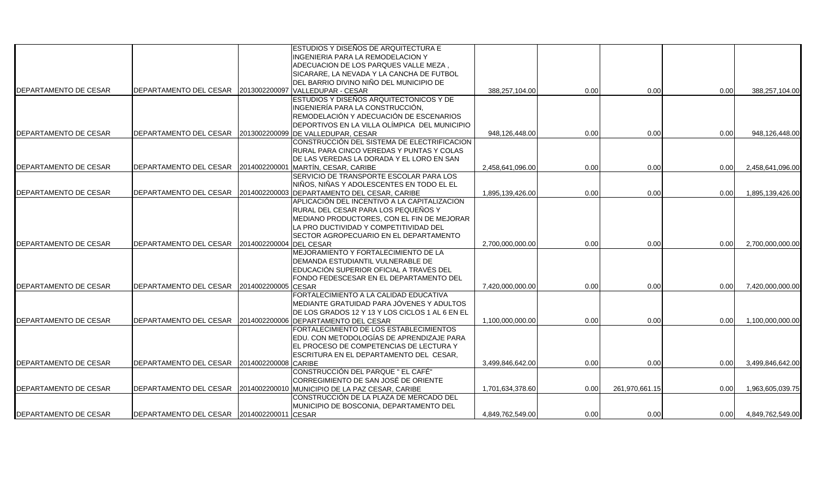|                              |                                                            |                     | ESTUDIOS Y DISEÑOS DE ARQUITECTURA E                                   |                  |      |                |      |                  |
|------------------------------|------------------------------------------------------------|---------------------|------------------------------------------------------------------------|------------------|------|----------------|------|------------------|
|                              |                                                            |                     |                                                                        |                  |      |                |      |                  |
|                              |                                                            |                     | INGENIERIA PARA LA REMODELACION Y                                      |                  |      |                |      |                  |
|                              |                                                            |                     | ADECUACION DE LOS PARQUES VALLE MEZA,                                  |                  |      |                |      |                  |
|                              |                                                            |                     | SICARARE, LA NEVADA Y LA CANCHA DE FUTBOL                              |                  |      |                |      |                  |
|                              |                                                            |                     | DEL BARRIO DIVINO NIÑO DEL MUNICIPIO DE                                |                  |      |                |      |                  |
| <b>DEPARTAMENTO DE CESAR</b> | DEPARTAMENTO DEL CESAR 2013002200097 VALLEDUPAR - CESAR    |                     |                                                                        | 388,257,104.00   | 0.00 | 0.00           | 0.00 | 388,257,104.00   |
|                              |                                                            |                     | ESTUDIOS Y DISEÑOS ARQUITECTONICOS Y DE                                |                  |      |                |      |                  |
|                              |                                                            |                     | INGENIERÍA PARA LA CONSTRUCCIÓN,                                       |                  |      |                |      |                  |
|                              |                                                            |                     | REMODELACIÓN Y ADECUACIÓN DE ESCENARIOS                                |                  |      |                |      |                  |
|                              |                                                            |                     | DEPORTIVOS EN LA VILLA OLÍMPICA DEL MUNICIPIO                          |                  |      |                |      |                  |
| DEPARTAMENTO DE CESAR        | DEPARTAMENTO DEL CESAR 2013002200099                       |                     | <b>DE VALLEDUPAR, CESAR</b>                                            | 948,126,448.00   | 0.00 | 0.00           | 0.00 | 948,126,448.00   |
|                              |                                                            |                     | CONSTRUCCIÓN DEL SISTEMA DE ELECTRIFICACION                            |                  |      |                |      |                  |
|                              |                                                            |                     | RURAL PARA CINCO VEREDAS Y PUNTAS Y COLAS                              |                  |      |                |      |                  |
|                              |                                                            |                     | DE LAS VEREDAS LA DORADA Y EL LORO EN SAN                              |                  |      |                |      |                  |
| DEPARTAMENTO DE CESAR        | DEPARTAMENTO DEL CESAR 2014002200001 MARTÍN, CESAR, CARIBE |                     |                                                                        | 2,458,641,096.00 | 0.00 | 0.00           | 0.00 | 2,458,641,096.00 |
|                              |                                                            |                     | SERVICIO DE TRANSPORTE ESCOLAR PARA LOS                                |                  |      |                |      |                  |
|                              |                                                            |                     | NIÑOS, NIÑAS Y ADOLESCENTES EN TODO EL EL                              |                  |      |                |      |                  |
| DEPARTAMENTO DE CESAR        |                                                            |                     | DEPARTAMENTO DEL CESAR 2014002200003 DEPARTAMENTO DEL CESAR, CARIBE    | 1,895,139,426.00 | 0.00 | 0.00           | 0.00 | 1,895,139,426.00 |
|                              |                                                            |                     | APLICACIÓN DEL INCENTIVO A LA CAPITALIZACION                           |                  |      |                |      |                  |
|                              |                                                            |                     | RURAL DEL CESAR PARA LOS PEQUEÑOS Y                                    |                  |      |                |      |                  |
|                              |                                                            |                     |                                                                        |                  |      |                |      |                  |
|                              |                                                            |                     | MEDIANO PRODUCTORES, CON EL FIN DE MEJORAR                             |                  |      |                |      |                  |
|                              |                                                            |                     | LA PRO DUCTIVIDAD Y COMPETITIVIDAD DEL                                 |                  |      |                |      |                  |
|                              |                                                            |                     | <b>ISECTOR AGROPECUARIO EN EL DEPARTAMENTO</b>                         |                  |      |                |      |                  |
| DEPARTAMENTO DE CESAR        | DEPARTAMENTO DEL CESAR                                     | 2014002200004       | <b>DEL CESAR</b>                                                       | 2,700,000,000.00 | 0.00 | 0.00           | 0.00 | 2,700,000,000.00 |
|                              |                                                            |                     | MEJORAMIENTO Y FORTALECIMIENTO DE LA                                   |                  |      |                |      |                  |
|                              |                                                            |                     | DEMANDA ESTUDIANTIL VULNERABLE DE                                      |                  |      |                |      |                  |
|                              |                                                            |                     | EDUCACIÓN SUPERIOR OFICIAL A TRAVÉS DEL                                |                  |      |                |      |                  |
|                              |                                                            |                     | FONDO FEDESCESAR EN EL DEPARTAMENTO DEL                                |                  |      |                |      |                  |
| DEPARTAMENTO DE CESAR        | <b>IDEPARTAMENTO DEL CESAR</b>                             | 2014002200005 CESAR |                                                                        | 7,420,000,000.00 | 0.00 | 0.00           | 0.00 | 7,420,000,000.00 |
|                              |                                                            |                     | FORTALECIMIENTO A LA CALIDAD EDUCATIVA                                 |                  |      |                |      |                  |
|                              |                                                            |                     | MEDIANTE GRATUIDAD PARA JÓVENES Y ADULTOS                              |                  |      |                |      |                  |
|                              |                                                            |                     | DE LOS GRADOS 12 Y 13 Y LOS CICLOS 1 AL 6 EN EL                        |                  |      |                |      |                  |
| DEPARTAMENTO DE CESAR        |                                                            |                     | DEPARTAMENTO DEL CESAR 2014002200006 DEPARTAMENTO DEL CESAR            | 1,100,000,000.00 | 0.00 | 0.00           | 0.00 | 1,100,000,000.00 |
|                              |                                                            |                     | FORTALECIMIENTO DE LOS ESTABLECIMIENTOS                                |                  |      |                |      |                  |
|                              |                                                            |                     | EDU. CON METODOLOGÍAS DE APRENDIZAJE PARA                              |                  |      |                |      |                  |
|                              |                                                            |                     | EL PROCESO DE COMPETENCIAS DE LECTURA Y                                |                  |      |                |      |                  |
|                              |                                                            |                     | ESCRITURA EN EL DEPARTAMENTO DEL CESAR.                                |                  |      |                |      |                  |
| DEPARTAMENTO DE CESAR        | DEPARTAMENTO DEL CESAR 2014002200008 CARIBE                |                     |                                                                        | 3,499,846,642.00 | 0.00 | 0.00           | 0.00 | 3,499,846,642.00 |
|                              |                                                            |                     | CONSTRUCCIÓN DEL PARQUE " EL CAFÉ"                                     |                  |      |                |      |                  |
|                              |                                                            |                     | CORREGIMIENTO DE SAN JOSÉ DE ORIENTE                                   |                  |      |                |      |                  |
|                              |                                                            |                     |                                                                        |                  |      |                |      |                  |
| DEPARTAMENTO DE CESAR        |                                                            |                     | DEPARTAMENTO DEL CESAR 2014002200010 MUNICIPIO DE LA PAZ CESAR, CARIBE | 1,701,634,378.60 | 0.00 | 261,970,661.15 | 0.00 | 1,963,605,039.75 |
|                              |                                                            |                     | CONSTRUCCIÓN DE LA PLAZA DE MERCADO DEL                                |                  |      |                |      |                  |
|                              |                                                            |                     | MUNICIPIO DE BOSCONIA, DEPARTAMENTO DEL                                |                  |      |                |      |                  |
| DEPARTAMENTO DE CESAR        | DEPARTAMENTO DEL CESAR 2014002200011 CESAR                 |                     |                                                                        | 4.849.762.549.00 | 0.00 | 0.00           | 0.00 | 4,849,762,549.00 |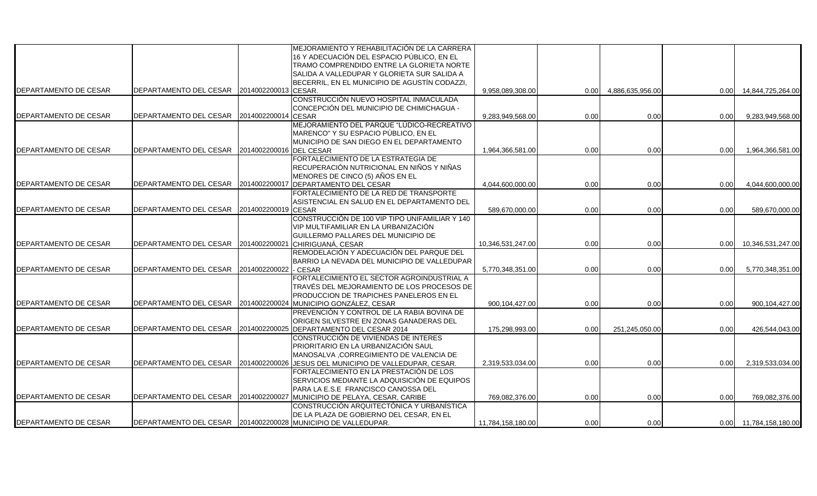|                       |                                                                   |                      | MEJORAMIENTO Y REHABILITACIÓN DE LA CARRERA                                          |                   |      |                  |      |                        |
|-----------------------|-------------------------------------------------------------------|----------------------|--------------------------------------------------------------------------------------|-------------------|------|------------------|------|------------------------|
|                       |                                                                   |                      | 16 Y ADECUACIÓN DEL ESPACIO PÚBLICO, EN EL                                           |                   |      |                  |      |                        |
|                       |                                                                   |                      | TRAMO COMPRENDIDO ENTRE LA GLORIETA NORTE                                            |                   |      |                  |      |                        |
|                       |                                                                   |                      | SALIDA A VALLEDUPAR Y GLORIETA SUR SALIDA A                                          |                   |      |                  |      |                        |
|                       |                                                                   |                      | BECERRIL, EN EL MUNICIPIO DE AGUSTÍN CODAZZI,                                        |                   |      |                  |      |                        |
| DEPARTAMENTO DE CESAR | DEPARTAMENTO DEL CESAR                                            | 2014002200013 CESAR. |                                                                                      | 9,958,089,308.00  | 0.00 | 4,886,635,956.00 | 0.00 | 14,844,725,264.00      |
|                       |                                                                   |                      | CONSTRUCCIÓN NUEVO HOSPITAL INMACULADA                                               |                   |      |                  |      |                        |
|                       |                                                                   |                      | CONCEPCIÓN DEL MUNICIPIO DE CHIMICHAGUA -                                            |                   |      |                  |      |                        |
| DEPARTAMENTO DE CESAR | DEPARTAMENTO DEL CESAR                                            | 2014002200014        | <b>CESAR</b>                                                                         | 9,283,949,568.00  | 0.00 | 0.00             | 0.00 | 9,283,949,568.00       |
|                       |                                                                   |                      | MEJORAMIENTO DEL PARQUE "LÚDICO-RECREATIVO                                           |                   |      |                  |      |                        |
|                       |                                                                   |                      | MARENCO" Y SU ESPACIO PÚBLICO, EN EL                                                 |                   |      |                  |      |                        |
|                       |                                                                   |                      | MUNICIPIO DE SAN DIEGO EN EL DEPARTAMENTO                                            |                   |      |                  |      |                        |
| DEPARTAMENTO DE CESAR | DEPARTAMENTO DEL CESAR                                            | 2014002200016        | <b>DEL CESAR</b>                                                                     | 1,964,366,581.00  | 0.00 | 0.00             | 0.00 | 1,964,366,581.00       |
|                       |                                                                   |                      | FORTALECIMIENTO DE LA ESTRATEGIA DE                                                  |                   |      |                  |      |                        |
|                       |                                                                   |                      | RECUPERACIÓN NUTRICIONAL EN NIÑOS Y NIÑAS                                            |                   |      |                  |      |                        |
|                       |                                                                   |                      | MENORES DE CINCO (5) AÑOS EN EL                                                      |                   |      |                  |      |                        |
| DEPARTAMENTO DE CESAR | DEPARTAMENTO DEL CESAR                                            | 2014002200017        | DEPARTAMENTO DEL CESAR                                                               | 4,044,600,000.00  | 0.00 | 0.00             | 0.00 | 4,044,600,000.00       |
|                       |                                                                   |                      | FORTALECIMIENTO DE LA RED DE TRANSPORTE                                              |                   |      |                  |      |                        |
|                       |                                                                   |                      | ASISTENCIAL EN SALUD EN EL DEPARTAMENTO DEL                                          |                   |      |                  |      |                        |
| DEPARTAMENTO DE CESAR | DEPARTAMENTO DEL CESAR                                            | 2014002200019        | <b>CESAR</b>                                                                         | 589,670,000.00    | 0.00 | 0.00             | 0.00 | 589,670,000.00         |
|                       |                                                                   |                      | CONSTRUCCIÓN DE 100 VIP TIPO UNIFAMILIAR Y 140                                       |                   |      |                  |      |                        |
|                       |                                                                   |                      | VIP MULTIFAMILIAR EN LA URBANIZACIÓN                                                 |                   |      |                  |      |                        |
|                       |                                                                   |                      | GUILLERMO PALLARES DEL MUNICIPIO DE                                                  |                   |      |                  |      |                        |
| DEPARTAMENTO DE CESAR | DEPARTAMENTO DEL CESAR                                            | 2014002200021        | CHIRIGUANÁ, CESAR                                                                    | 10,346,531,247.00 | 0.00 | 0.00             | 0.00 | 10,346,531,247.00      |
|                       |                                                                   |                      | REMODELACIÓN Y ADECUACIÓN DEL PARQUE DEL                                             |                   |      |                  |      |                        |
|                       |                                                                   |                      | BARRIO LA NEVADA DEL MUNICIPIO DE VALLEDUPAR                                         |                   |      |                  |      |                        |
| DEPARTAMENTO DE CESAR | DEPARTAMENTO DEL CESAR                                            | 2014002200022        | - CESAR                                                                              | 5,770,348,351.00  | 0.00 | 0.00             | 0.00 | 5,770,348,351.00       |
|                       |                                                                   |                      | FORTALECIMIENTO EL SECTOR AGROINDUSTRIAL A                                           |                   |      |                  |      |                        |
|                       |                                                                   |                      | TRAVÉS DEL MEJORAMIENTO DE LOS PROCESOS DE                                           |                   |      |                  |      |                        |
|                       |                                                                   |                      | PRODUCCION DE TRAPICHES PANELEROS EN EL                                              |                   |      |                  |      |                        |
| DEPARTAMENTO DE CESAR | DEPARTAMENTO DEL CESAR 2014002200024                              |                      | MUNICIPIO GONZÁLEZ, CESAR                                                            | 900,104,427.00    | 0.00 | 0.00             | 0.00 | 900,104,427.00         |
|                       |                                                                   |                      | PREVENCIÓN Y CONTROL DE LA RABIA BOVINA DE                                           |                   |      |                  |      |                        |
|                       |                                                                   |                      |                                                                                      |                   |      |                  |      |                        |
| DEPARTAMENTO DE CESAR | DEPARTAMENTO DEL CESAR                                            | 2014002200025        | ORIGEN SILVESTRE EN ZONAS GANADERAS DEL<br>DEPARTAMENTO DEL CESAR 2014               | 175,298,993.00    | 0.00 | 251,245,050.00   | 0.00 | 426,544,043.00         |
|                       |                                                                   |                      | CONSTRUCCIÓN DE VIVIENDAS DE INTERES                                                 |                   |      |                  |      |                        |
|                       |                                                                   |                      | PRIORITARIO EN LA URBANIZACIÓN SAUL                                                  |                   |      |                  |      |                        |
|                       |                                                                   |                      | MANOSALVA , CORREGIMIENTO DE VALENCIA DE                                             |                   |      |                  |      |                        |
| DEPARTAMENTO DE CESAR | DEPARTAMENTO DEL CESAR                                            | 2014002200026        |                                                                                      |                   | 0.00 | 0.00             | 0.00 | 2,319,533,034.00       |
|                       |                                                                   |                      | JESUS DEL MUNICIPIO DE VALLEDUPAR, CESAR.<br>FORTALECIMIENTO EN LA PRESTACIÓN DE LOS | 2,319,533,034.00  |      |                  |      |                        |
|                       |                                                                   |                      | SERVICIOS MEDIANTE LA ADQUISICIÓN DE EQUIPOS                                         |                   |      |                  |      |                        |
|                       |                                                                   |                      |                                                                                      |                   |      |                  |      |                        |
| DEPARTAMENTO DE CESAR | DEPARTAMENTO DEL CESAR                                            | 2014002200027        | PARA LA E.S.E FRANCISCO CANOSSA DEL                                                  |                   |      |                  |      |                        |
|                       |                                                                   |                      | MUNICIPIO DE PELAYA, CESAR, CARIBE<br>CONSTRUCCIÓN ARQUITECTÓNICA Y URBANÍSTICA      | 769,082,376.00    | 0.00 | 0.00             | 0.00 | 769,082,376.00         |
|                       |                                                                   |                      |                                                                                      |                   |      |                  |      |                        |
| DEPARTAMENTO DE CESAR | DEPARTAMENTO DEL CESAR   2014002200028   MUNICIPIO DE VALLEDUPAR. |                      | DE LA PLAZA DE GOBIERNO DEL CESAR, EN EL                                             |                   |      |                  |      |                        |
|                       |                                                                   |                      |                                                                                      | 11,784,158,180.00 | 0.00 | 0.00             |      | 0.00 11,784,158,180.00 |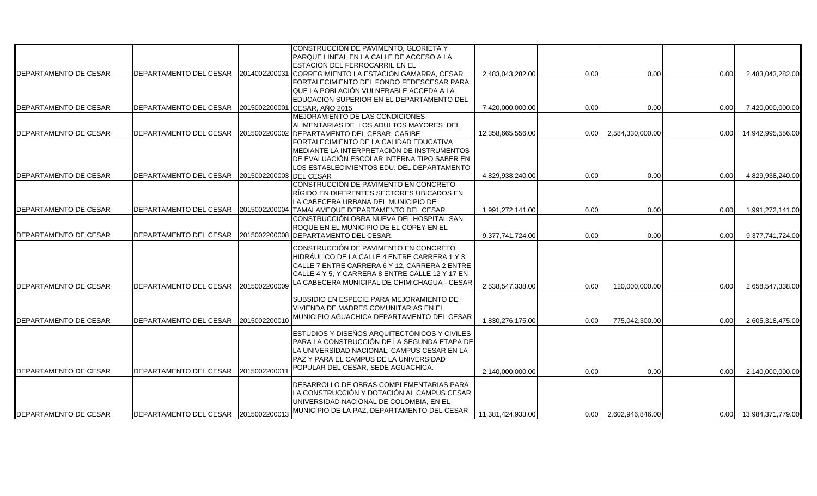|                              |                                      |                         | CONSTRUCCIÓN DE PAVIMENTO, GLORIETA Y           |                   |      |                  |      |                        |
|------------------------------|--------------------------------------|-------------------------|-------------------------------------------------|-------------------|------|------------------|------|------------------------|
|                              |                                      |                         | PARQUE LINEAL EN LA CALLE DE ACCESO A LA        |                   |      |                  |      |                        |
|                              |                                      |                         | ESTACION DEL FERROCARRIL EN EL                  |                   |      |                  |      |                        |
| <b>DEPARTAMENTO DE CESAR</b> | <b>DEPARTAMENTO DEL CESAR</b>        | 2014002200031           | CORREGIMIENTO LA ESTACION GAMARRA, CESAR        | 2,483,043,282.00  | 0.00 | 0.00             | 0.00 | 2,483,043,282.00       |
|                              |                                      |                         | FORTALECIMIENTO DEL FONDO FEDESCESAR PARA       |                   |      |                  |      |                        |
|                              |                                      |                         | QUE LA POBLACIÓN VULNERABLE ACCEDA A LA         |                   |      |                  |      |                        |
|                              |                                      |                         | EDUCACIÓN SUPERIOR EN EL DEPARTAMENTO DEL       |                   |      |                  |      |                        |
| DEPARTAMENTO DE CESAR        | <b>DEPARTAMENTO DEL CESAR</b>        | 2015002200001           | CESAR, AÑO 2015                                 | 7,420,000,000.00  | 0.00 | 0.00             | 0.00 | 7,420,000,000.00       |
|                              |                                      |                         | MEJORAMIENTO DE LAS CONDICIONES                 |                   |      |                  |      |                        |
|                              |                                      |                         | ALIMENTARIAS DE LOS ADULTOS MAYORES DEL         |                   |      |                  |      |                        |
| <b>DEPARTAMENTO DE CESAR</b> | <b>DEPARTAMENTO DEL CESAR</b>        | 2015002200002           | DEPARTAMENTO DEL CESAR, CARIBE                  | 12,358,665,556.00 | 0.00 | 2,584,330,000.00 | 0.00 | 14,942,995,556.00      |
|                              |                                      |                         | FORTALECIMIENTO DE LA CALIDAD EDUCATIVA         |                   |      |                  |      |                        |
|                              |                                      |                         | MEDIANTE LA INTERPRETACIÓN DE INSTRUMENTOS      |                   |      |                  |      |                        |
|                              |                                      |                         | DE EVALUACIÓN ESCOLAR INTERNA TIPO SABER EN     |                   |      |                  |      |                        |
|                              |                                      |                         | LOS ESTABLECIMIENTOS EDU. DEL DEPARTAMENTO      |                   |      |                  |      |                        |
| DEPARTAMENTO DE CESAR        | <b>DEPARTAMENTO DEL CESAR</b>        | 2015002200003 DEL CESAR |                                                 | 4,829,938,240.00  | 0.00 | 0.00             | 0.00 | 4,829,938,240.00       |
|                              |                                      |                         | CONSTRUCCIÓN DE PAVIMENTO EN CONCRETO           |                   |      |                  |      |                        |
|                              |                                      |                         | RÍGIDO EN DIFERENTES SECTORES UBICADOS EN       |                   |      |                  |      |                        |
|                              |                                      |                         | LA CABECERA URBANA DEL MUNICIPIO DE             |                   |      |                  |      |                        |
| DEPARTAMENTO DE CESAR        | DEPARTAMENTO DEL CESAR               | 2015002200004           | TAMALAMEQUE DEPARTAMENTO DEL CESAR              | 1,991,272,141.00  | 0.00 | 0.00             | 0.00 | 1,991,272,141.00       |
|                              |                                      |                         | CONSTRUCCIÓN OBRA NUEVA DEL HOSPITAL SAN        |                   |      |                  |      |                        |
|                              |                                      |                         | ROQUE EN EL MUNICIPIO DE EL COPEY EN EL         |                   |      |                  |      |                        |
| DEPARTAMENTO DE CESAR        | <b>DEPARTAMENTO DEL CESAR</b>        | 2015002200008           | <b>DEPARTAMENTO DEL CESAR.</b>                  | 9,377,741,724.00  | 0.00 | 0.00             | 0.00 | 9,377,741,724.00       |
|                              |                                      |                         |                                                 |                   |      |                  |      |                        |
|                              |                                      |                         | CONSTRUCCIÓN DE PAVIMENTO EN CONCRETO           |                   |      |                  |      |                        |
|                              |                                      |                         | HIDRÁULICO DE LA CALLE 4 ENTRE CARRERA 1 Y 3.   |                   |      |                  |      |                        |
|                              |                                      |                         | CALLE 7 ENTRE CARRERA 6 Y 12, CARRERA 2 ENTRE   |                   |      |                  |      |                        |
|                              |                                      |                         | CALLE 4 Y 5, Y CARRERA 8 ENTRE CALLE 12 Y 17 EN |                   |      |                  |      |                        |
| DEPARTAMENTO DE CESAR        | <b>IDEPARTAMENTO DEL CESAR</b>       | 2015002200009           | LA CABECERA MUNICIPAL DE CHIMICHAGUA - CESAR    | 2,538,547,338.00  | 0.00 |                  |      | 2,658,547,338.00       |
|                              |                                      |                         |                                                 |                   |      | 120,000,000.00   | 0.00 |                        |
|                              |                                      |                         | SUBSIDIO EN ESPECIE PARA MEJORAMIENTO DE        |                   |      |                  |      |                        |
|                              |                                      |                         | VIVIENDA DE MADRES COMUNITARIAS EN EL           |                   |      |                  |      |                        |
| <b>DEPARTAMENTO DE CESAR</b> |                                      |                         | MUNICIPIO AGUACHICA DEPARTAMENTO DEL CESAR      |                   |      |                  |      |                        |
|                              | IDEPARTAMENTO DEL CESAR              | 2015002200010           |                                                 | 1,830,276,175.00  | 0.00 | 775,042,300.00   | 0.00 | 2,605,318,475.00       |
|                              |                                      |                         | ESTUDIOS Y DISEÑOS ARQUITECTÓNICOS Y CIVILES    |                   |      |                  |      |                        |
|                              |                                      |                         | PARA LA CONSTRUCCIÓN DE LA SEGUNDA ETAPA DE     |                   |      |                  |      |                        |
|                              |                                      |                         | LA UNIVERSIDAD NACIONAL. CAMPUS CESAR EN LA     |                   |      |                  |      |                        |
|                              |                                      |                         | IPAZ Y PARA EL CAMPUS DE LA UNIVERSIDAD         |                   |      |                  |      |                        |
|                              |                                      |                         | POPULAR DEL CESAR, SEDE AGUACHICA.              |                   |      |                  |      |                        |
| DEPARTAMENTO DE CESAR        | <b>DEPARTAMENTO DEL CESAR</b>        | 2015002200011           |                                                 | 2,140,000,000.00  | 0.00 | 0.00             | 0.00 | 2,140,000,000.00       |
|                              |                                      |                         | DESARROLLO DE OBRAS COMPLEMENTARIAS PARA        |                   |      |                  |      |                        |
|                              |                                      |                         | LA CONSTRUCCIÓN Y DOTACIÓN AL CAMPUS CESAR      |                   |      |                  |      |                        |
|                              |                                      |                         | UNIVERSIDAD NACIONAL DE COLOMBIA. EN EL         |                   |      |                  |      |                        |
|                              |                                      |                         | MUNICIPIO DE LA PAZ, DEPARTAMENTO DEL CESAR     |                   |      |                  |      |                        |
| DEPARTAMENTO DE CESAR        | DEPARTAMENTO DEL CESAR 2015002200013 |                         |                                                 | 11,381,424,933.00 | 0.00 | 2,602,946,846.00 |      | 0.00 13,984,371,779.00 |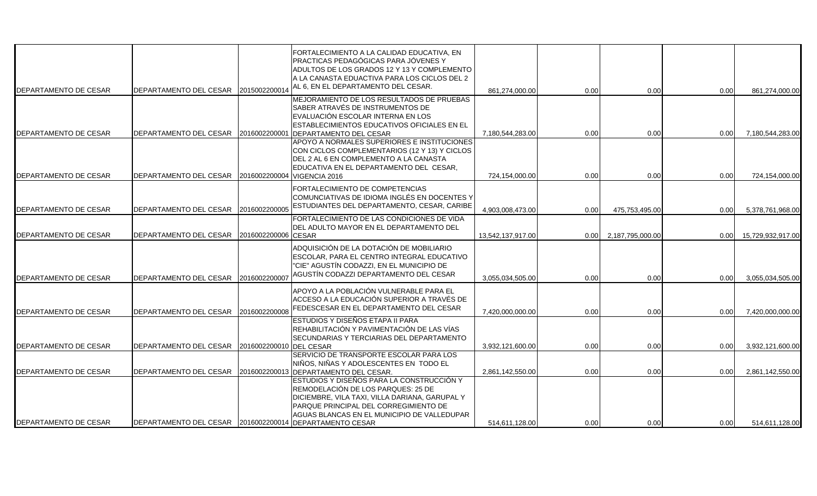| DEPARTAMENTO DE CESAR        | DEPARTAMENTO DEL CESAR                                  | 2015002200014           | FORTALECIMIENTO A LA CALIDAD EDUCATIVA, EN<br>PRACTICAS PEDAGÓGICAS PARA JÓVENES Y<br>ADULTOS DE LOS GRADOS 12 Y 13 Y COMPLEMENTO<br>A LA CANASTA EDUACTIVA PARA LOS CICLOS DEL 2<br>AL 6, EN EL DEPARTAMENTO DEL CESAR.  | 861,274,000.00    | 0.00 | 0.00             | 0.00 | 861,274,000.00    |
|------------------------------|---------------------------------------------------------|-------------------------|---------------------------------------------------------------------------------------------------------------------------------------------------------------------------------------------------------------------------|-------------------|------|------------------|------|-------------------|
| <b>DEPARTAMENTO DE CESAR</b> | DEPARTAMENTO DEL CESAR 12016002200001                   |                         | MEJORAMIENTO DE LOS RESULTADOS DE PRUEBAS<br>SABER ATRAVÉS DE INSTRUMENTOS DE<br>EVALUACIÓN ESCOLAR INTERNA EN LOS<br>ESTABLECIMIENTOS EDUCATIVOS OFICIALES EN EL<br><b>DEPARTAMENTO DEL CESAR</b>                        | 7.180.544.283.00  | 0.00 | 0.00             | 0.00 | 7,180,544,283.00  |
| DEPARTAMENTO DE CESAR        | DEPARTAMENTO DEL CESAR 2016002200004 VIGENCIA 2016      |                         | APOYO A NORMALES SUPERIORES E INSTITUCIONES<br>CON CICLOS COMPLEMENTARIOS (12 Y 13) Y CICLOS<br>DEL 2 AL 6 EN COMPLEMENTO A LA CANASTA<br>EDUCATIVA EN EL DEPARTAMENTO DEL CESAR,                                         | 724,154,000.00    | 0.00 | 0.00             | 0.00 | 724,154,000.00    |
| DEPARTAMENTO DE CESAR        | DEPARTAMENTO DEL CESAR                                  | 2016002200005           | FORTALECIMIENTO DE COMPETENCIAS<br>COMUNCIATIVAS DE IDIOMA INGLÉS EN DOCENTES Y<br>ESTUDIANTES DEL DEPARTAMENTO, CESAR, CARIBE                                                                                            | 4,903,008,473.00  | 0.00 | 475,753,495.00   | 0.00 | 5,378,761,968.00  |
| DEPARTAMENTO DE CESAR        | DEPARTAMENTO DEL CESAR 2016002200006 CESAR              |                         | FORTALECIMIENTO DE LAS CONDICIONES DE VIDA<br>DEL ADULTO MAYOR EN EL DEPARTAMENTO DEL                                                                                                                                     | 13,542,137,917.00 | 0.00 | 2,187,795,000.00 | 0.00 | 15,729,932,917.00 |
| DEPARTAMENTO DE CESAR        | DEPARTAMENTO DEL CESAR                                  | 2016002200007           | ADQUISICIÓN DE LA DOTACIÓN DE MOBILIARIO<br>ESCOLAR, PARA EL CENTRO INTEGRAL EDUCATIVO<br>"CIE" AGUSTÍN CODAZZI, EN EL MUNICIPIO DE<br>AGUSTÍN CODAZZI DEPARTAMENTO DEL CESAR                                             | 3,055,034,505.00  | 0.00 | 0.00             | 0.00 | 3,055,034,505.00  |
| DEPARTAMENTO DE CESAR        | DEPARTAMENTO DEL CESAR                                  | 2016002200008           | APOYO A LA POBLACIÓN VULNERABLE PARA EL<br>ACCESO A LA EDUCACIÓN SUPERIOR A TRAVÉS DE<br>FEDESCESAR EN EL DEPARTAMENTO DEL CESAR                                                                                          | 7,420,000,000.00  | 0.00 | 0.00             | 0.00 | 7,420,000,000.00  |
| DEPARTAMENTO DE CESAR        | DEPARTAMENTO DEL CESAR                                  | 2016002200010 DEL CESAR | ESTUDIOS Y DISEÑOS ETAPA II PARA<br>REHABILITACIÓN Y PAVIMENTACIÓN DE LAS VÍAS<br>SECUNDARIAS Y TERCIARIAS DEL DEPARTAMENTO                                                                                               | 3,932,121,600.00  | 0.00 | 0.00             | 0.00 | 3,932,121,600.00  |
| DEPARTAMENTO DE CESAR        | DEPARTAMENTO DEL CESAR                                  | 2016002200013           | SERVICIO DE TRANSPORTE ESCOLAR PARA LOS<br>NIÑOS, NIÑAS Y ADOLESCENTES EN TODO EL<br>DEPARTAMENTO DEL CESAR.                                                                                                              | 2,861,142,550.00  | 0.00 | 0.00             | 0.00 | 2,861,142,550.00  |
| DEPARTAMENTO DE CESAR        | DEPARTAMENTO DEL CESAR 2016002200014 DEPARTAMENTO CESAR |                         | ESTUDIOS Y DISEÑOS PARA LA CONSTRUCCIÓN Y<br>REMODELACIÓN DE LOS PARQUES: 25 DE<br>DICIEMBRE, VILA TAXI, VILLA DARIANA, GARUPAL Y<br>PARQUE PRINCIPAL DEL CORREGIMIENTO DE<br>AGUAS BLANCAS EN EL MUNICIPIO DE VALLEDUPAR | 514.611.128.00    | 0.00 | 0.00             | 0.00 | 514,611,128.00    |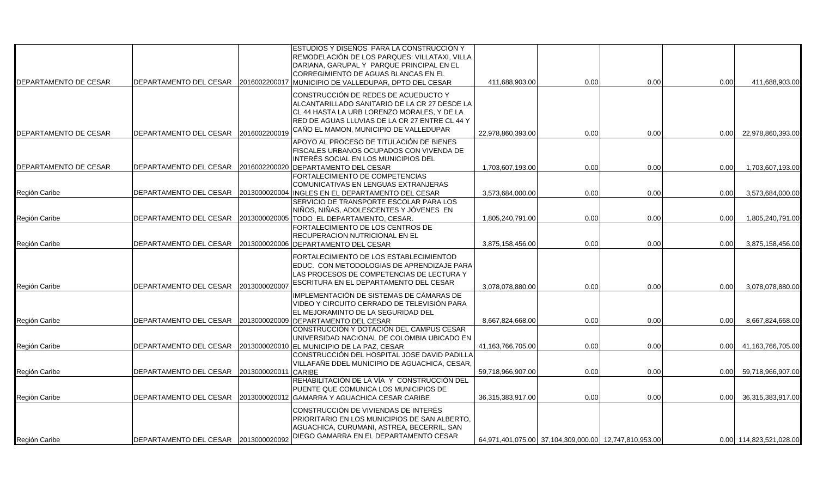| DEPARTAMENTO DE CESAR | <b>DEPARTAMENTO DEL CESAR</b>        | 2016002200017 | ESTUDIOS Y DISEÑOS PARA LA CONSTRUCCIÓN Y<br>REMODELACIÓN DE LOS PARQUES: VILLATAXI, VILLA<br>DARIANA. GARUPAL Y PARQUE PRINCIPAL EN EL<br>CORREGIMIENTO DE AGUAS BLANCAS EN EL<br>MUNICIPIO DE VALLEDUPAR, DPTO DEL CESAR       | 411,688,903.00    | 0.00                                                  | 0.00 | 0.00 | 411,688,903.00          |
|-----------------------|--------------------------------------|---------------|----------------------------------------------------------------------------------------------------------------------------------------------------------------------------------------------------------------------------------|-------------------|-------------------------------------------------------|------|------|-------------------------|
| DEPARTAMENTO DE CESAR | <b>DEPARTAMENTO DEL CESAR</b>        | 2016002200019 | CONSTRUCCIÓN DE REDES DE ACUEDUCTO Y<br>ALCANTARILLADO SANITARIO DE LA CR 27 DESDE LA<br>CL 44 HASTA LA URB LORENZO MORALES. Y DE LA<br>RED DE AGUAS LLUVIAS DE LA CR 27 ENTRE CL 44 Y<br>CAÑO EL MAMON, MUNICIPIO DE VALLEDUPAR | 22,978,860,393.00 | 0.00                                                  | 0.00 | 0.00 | 22,978,860,393.00       |
| DEPARTAMENTO DE CESAR | DEPARTAMENTO DEL CESAR               | 2016002200020 | APOYO AL PROCESO DE TITULACIÓN DE BIENES<br>FISCALES URBANOS OCUPADOS CON VIVENDA DE<br>INTERÉS SOCIAL EN LOS MUNICIPIOS DEL<br><b>DEPARTAMENTO DEL CESAR</b>                                                                    | 1,703,607,193.00  | 0.00                                                  | 0.00 | 0.00 | 1,703,607,193.00        |
| Región Caribe         | DEPARTAMENTO DEL CESAR               | 2013000020004 | FORTALECIMIENTO DE COMPETENCIAS<br>COMUNICATIVAS EN LENGUAS EXTRANJERAS<br><b>INGLES EN EL DEPARTAMENTO DEL CESAR</b><br>SERVICIO DE TRANSPORTE ESCOLAR PARA LOS                                                                 | 3,573,684,000.00  | 0.00                                                  | 0.00 | 0.00 | 3,573,684,000.00        |
| Región Caribe         | DEPARTAMENTO DEL CESAR               | 2013000020005 | NIÑOS, NIÑAS, ADOLESCENTES Y JÓVENES EN<br>TODO EL DEPARTAMENTO, CESAR.<br>FORTALECIMIENTO DE LOS CENTROS DE                                                                                                                     | 1,805,240,791.00  | 0.00                                                  | 0.00 | 0.00 | 1,805,240,791.00        |
| Región Caribe         | DEPARTAMENTO DEL CESAR               | 2013000020006 | RECUPERACION NUTRICIONAL EN EL<br>DEPARTAMENTO DEL CESAR                                                                                                                                                                         | 3,875,158,456.00  | 0.00                                                  | 0.00 | 0.00 | 3,875,158,456.00        |
| Región Caribe         | DEPARTAMENTO DEL CESAR               | 2013000020007 | FORTALECIMIENTO DE LOS ESTABLECIMIENTOD<br>EDUC. CON METODOLOGIAS DE APRENDIZAJE PARA<br>LAS PROCESOS DE COMPETENCIAS DE LECTURA Y<br>ESCRITURA EN EL DEPARTAMENTO DEL CESAR                                                     | 3,078,078,880.00  | 0.00                                                  | 0.00 | 0.00 | 3,078,078,880.00        |
| Región Caribe         | DEPARTAMENTO DEL CESAR               | 2013000020009 | IMPLEMENTACIÓN DE SISTEMAS DE CÁMARAS DE<br>VIDEO Y CIRCUITO CERRADO DE TELEVISIÓN PARA<br>EL MEJORAMINTO DE LA SEGURIDAD DEL<br><b>DEPARTAMENTO DEL CESAR</b>                                                                   | 8,667,824,668.00  | 0.00                                                  | 0.00 | 0.00 | 8,667,824,668.00        |
| Región Caribe         | DEPARTAMENTO DEL CESAR               |               | CONSTRUCCIÓN Y DOTACIÓN DEL CAMPUS CESAR<br>UNIVERSIDAD NACIONAL DE COLOMBIA UBICADO EN<br>2013000020010 EL MUNICIPIO DE LA PAZ, CESAR                                                                                           | 41,163,766,705.00 | 0.00                                                  | 0.00 | 0.00 | 41,163,766,705.00       |
| Región Caribe         | DEPARTAMENTO DEL CESAR               | 2013000020011 | CONSTRUCCIÓN DEL HOSPITAL JOSE DAVID PADILLA<br>VILLAFAÑE DDEL MUNICIPIO DE AGUACHICA, CESAR,<br><b>CARIBE</b><br>REHABILITACIÓN DE LA VÍA Y CONSTRUCCIÓN DEL                                                                    | 59,718,966,907.00 | 0.00                                                  | 0.00 | 0.00 | 59,718,966,907.00       |
| Región Caribe         |                                      |               | PUENTE QUE COMUNICA LOS MUNICIPIOS DE<br>DEPARTAMENTO DEL CESAR 2013000020012 GAMARRA Y AGUACHICA CESAR CARIBE                                                                                                                   | 36,315,383,917.00 | 0.00                                                  | 0.00 | 0.00 | 36,315,383,917.00       |
| Región Caribe         | DEPARTAMENTO DEL CESAR 2013000020092 |               | CONSTRUCCIÓN DE VIVIENDAS DE INTERÉS<br>PRIORITARIO EN LOS MUNICIPIOS DE SAN ALBERTO,<br>AGUACHICA, CURUMANI, ASTREA, BECERRIL, SAN<br>DIEGO GAMARRA EN EL DEPARTAMENTO CESAR                                                    |                   | 64,971,401,075.00 37,104,309,000.00 12,747,810,953.00 |      |      | 0.00 114,823,521,028.00 |